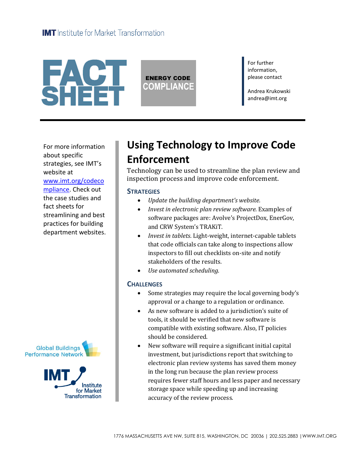

ENERGY CODE **COMPLIANCE** For further information, please contact

Andrea Krukowski andrea@imt.org

For more information about specific strategies, see IMT's website at [www.imt.org/codeco](http://www.imt.org/codecompliance) [mpliance.](http://www.imt.org/codecompliance) Check out the case studies and fact sheets for streamlining and best practices for building department websites.





# **Using Technology to Improve Code Enforcement**

Technology can be used to streamline the plan review and inspection process and improve code enforcement.

#### **STRATEGIES**

- *Update the building department's website.*
- *Invest in electronic plan review software.* Examples of software packages are: Avolve's ProjectDox, EnerGov, and CRW System's TRAKiT.
- *Invest in tablets*. Light-weight, internet-capable tablets that code officials can take along to inspections allow inspectors to fill out checklists on-site and notify stakeholders of the results.
- *Use automated scheduling*.

#### **CHALLENGES**

- Some strategies may require the local governing body's approval or a change to a regulation or ordinance.
- As new software is added to a jurisdiction's suite of tools, it should be verified that new software is compatible with existing software. Also, IT policies should be considered.
- New software will require a significant initial capital investment, but jurisdictions report that switching to electronic plan review systems has saved them money in the long run because the plan review process requires fewer staff hours and less paper and necessary storage space while speeding up and increasing accuracy of the review process.